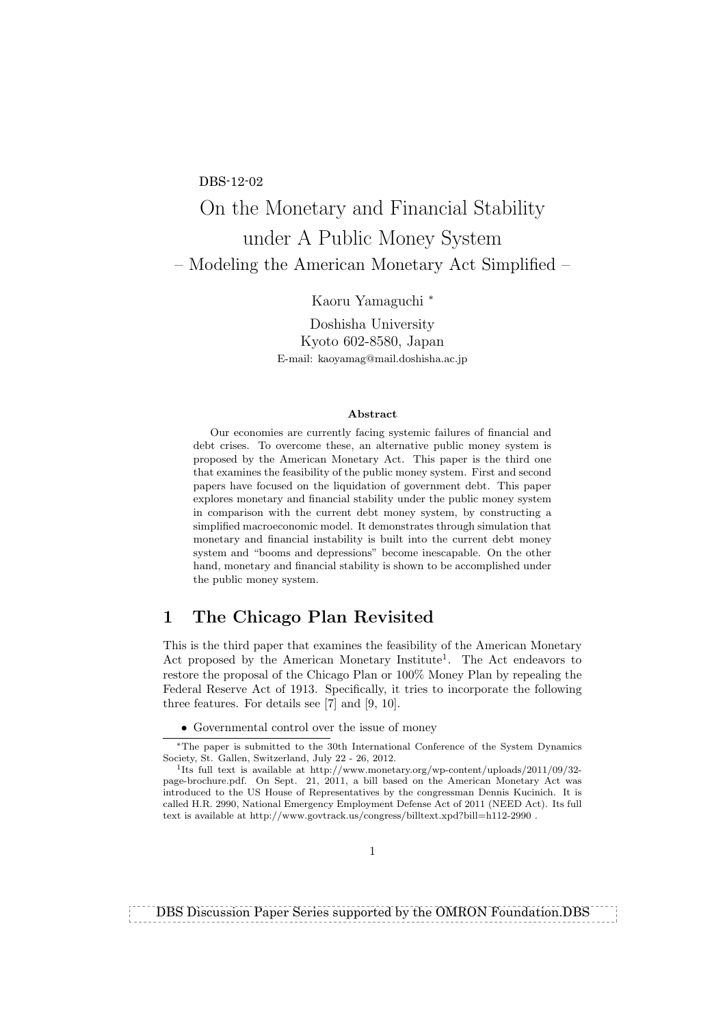#### DBS-12-02

# On the Monetary and Financial Stability under A Public Money System – Modeling the American Monetary Act Simplified –

Kaoru Yamaguchi *<sup>∗</sup>*

Doshisha University Kyoto 602-8580, Japan E-mail: kaoyamag@mail.doshisha.ac.jp

#### **Abstract**

Our economies are currently facing systemic failures of financial and debt crises. To overcome these, an alternative public money system is proposed by the American Monetary Act. This paper is the third one that examines the feasibility of the public money system. First and second papers have focused on the liquidation of government debt. This paper explores monetary and financial stability under the public money system in comparison with the current debt money system, by constructing a simplified macroeconomic model. It demonstrates through simulation that monetary and financial instability is built into the current debt money system and "booms and depressions" become inescapable. On the other hand, monetary and financial stability is shown to be accomplished under the public money system.

## **1 The Chicago Plan Revisited**

This is the third paper that examines the feasibility of the American Monetary Act proposed by the American Monetary Institute<sup>1</sup>. The Act endeavors to restore the proposal of the Chicago Plan or 100% Money Plan by repealing the Federal Reserve Act of 1913. Specifically, it tries to incorporate the following three features. For details see [7] and [9, 10].

*•* Governmental control over the issue of money

DBS Discussion Paper Series supported by the OMRON Foundation.DBS

*<sup>∗</sup>*The paper is submitted to the 30th International Conference of the System Dynamics Society, St. Gallen, Switzerland, July 22 - 26, 2012.

<sup>&</sup>lt;sup>1</sup>Its full text is available at http://www.monetary.org/wp-content/uploads/2011/09/32page-brochure.pdf. On Sept. 21, 2011, a bill based on the American Monetary Act was introduced to the US House of Representatives by the congressman Dennis Kucinich. It is called H.R. 2990, National Emergency Employment Defense Act of 2011 (NEED Act). Its full text is available at http://www.govtrack.us/congress/billtext.xpd?bill=h112-2990.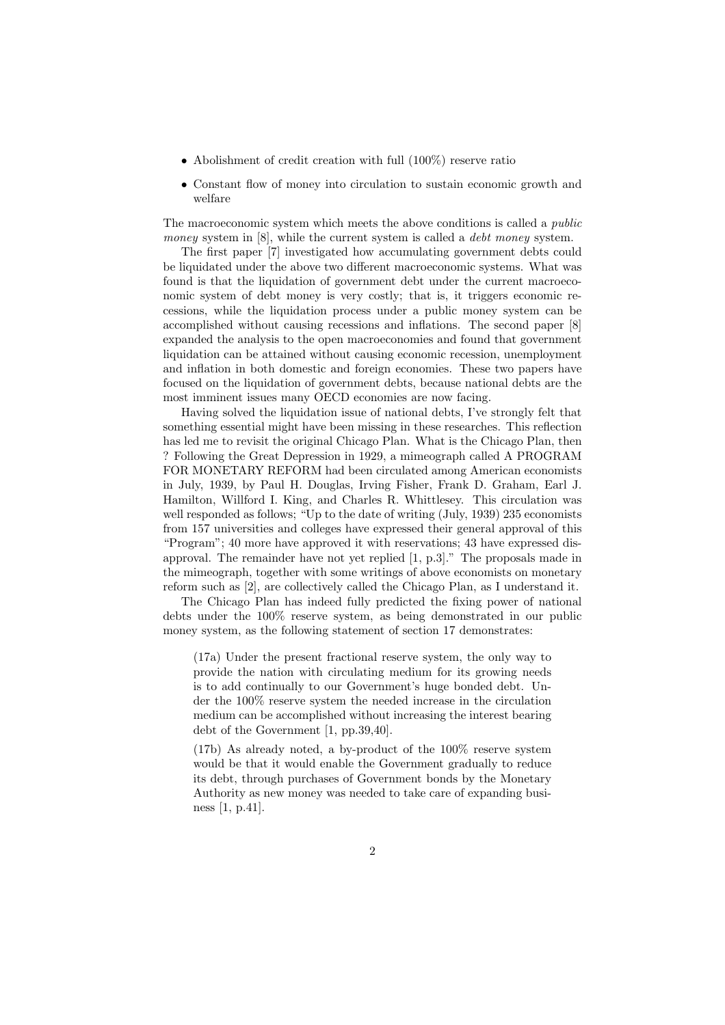- Abolishment of credit creation with full  $(100\%)$  reserve ratio
- Constant flow of money into circulation to sustain economic growth and welfare

The macroeconomic system which meets the above conditions is called a *public money* system in [8], while the current system is called a *debt money* system.

The first paper [7] investigated how accumulating government debts could be liquidated under the above two different macroeconomic systems. What was found is that the liquidation of government debt under the current macroeconomic system of debt money is very costly; that is, it triggers economic recessions, while the liquidation process under a public money system can be accomplished without causing recessions and inflations. The second paper [8] expanded the analysis to the open macroeconomies and found that government liquidation can be attained without causing economic recession, unemployment and inflation in both domestic and foreign economies. These two papers have focused on the liquidation of government debts, because national debts are the most imminent issues many OECD economies are now facing.

Having solved the liquidation issue of national debts, I've strongly felt that something essential might have been missing in these researches. This reflection has led me to revisit the original Chicago Plan. What is the Chicago Plan, then ? Following the Great Depression in 1929, a mimeograph called A PROGRAM FOR MONETARY REFORM had been circulated among American economists in July, 1939, by Paul H. Douglas, Irving Fisher, Frank D. Graham, Earl J. Hamilton, Willford I. King, and Charles R. Whittlesey. This circulation was well responded as follows; "Up to the date of writing (July, 1939) 235 economists from 157 universities and colleges have expressed their general approval of this "Program"; 40 more have approved it with reservations; 43 have expressed disapproval. The remainder have not yet replied [1, p.3]." The proposals made in the mimeograph, together with some writings of above economists on monetary reform such as [2], are collectively called the Chicago Plan, as I understand it.

The Chicago Plan has indeed fully predicted the fixing power of national debts under the 100% reserve system, as being demonstrated in our public money system, as the following statement of section 17 demonstrates:

(17a) Under the present fractional reserve system, the only way to provide the nation with circulating medium for its growing needs is to add continually to our Government's huge bonded debt. Under the 100% reserve system the needed increase in the circulation medium can be accomplished without increasing the interest bearing debt of the Government [1, pp.39,40].

(17b) As already noted, a by-product of the 100% reserve system would be that it would enable the Government gradually to reduce its debt, through purchases of Government bonds by the Monetary Authority as new money was needed to take care of expanding business [1, p.41].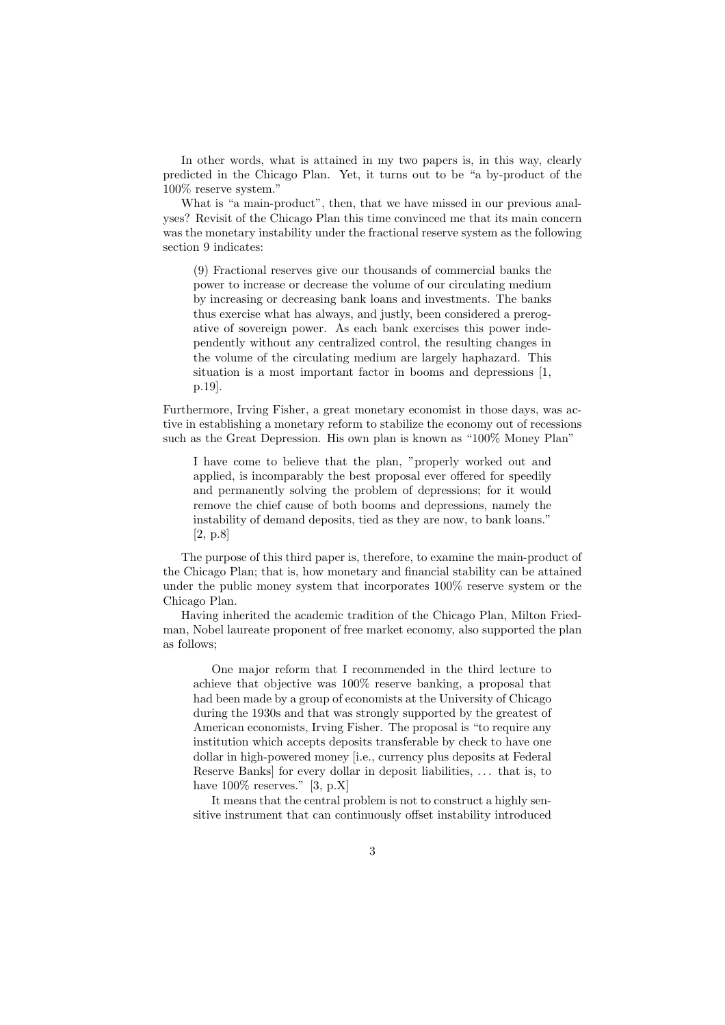In other words, what is attained in my two papers is, in this way, clearly predicted in the Chicago Plan. Yet, it turns out to be "a by-product of the 100% reserve system."

What is "a main-product", then, that we have missed in our previous analyses? Revisit of the Chicago Plan this time convinced me that its main concern was the monetary instability under the fractional reserve system as the following section 9 indicates:

(9) Fractional reserves give our thousands of commercial banks the power to increase or decrease the volume of our circulating medium by increasing or decreasing bank loans and investments. The banks thus exercise what has always, and justly, been considered a prerogative of sovereign power. As each bank exercises this power independently without any centralized control, the resulting changes in the volume of the circulating medium are largely haphazard. This situation is a most important factor in booms and depressions [1, p.19].

Furthermore, Irving Fisher, a great monetary economist in those days, was active in establishing a monetary reform to stabilize the economy out of recessions such as the Great Depression. His own plan is known as "100% Money Plan"

I have come to believe that the plan, "properly worked out and applied, is incomparably the best proposal ever offered for speedily and permanently solving the problem of depressions; for it would remove the chief cause of both booms and depressions, namely the instability of demand deposits, tied as they are now, to bank loans." [2, p.8]

The purpose of this third paper is, therefore, to examine the main-product of the Chicago Plan; that is, how monetary and financial stability can be attained under the public money system that incorporates 100% reserve system or the Chicago Plan.

Having inherited the academic tradition of the Chicago Plan, Milton Friedman, Nobel laureate proponent of free market economy, also supported the plan as follows;

One major reform that I recommended in the third lecture to achieve that objective was 100% reserve banking, a proposal that had been made by a group of economists at the University of Chicago during the 1930s and that was strongly supported by the greatest of American economists, Irving Fisher. The proposal is "to require any institution which accepts deposits transferable by check to have one dollar in high-powered money [i.e., currency plus deposits at Federal Reserve Banks] for every dollar in deposit liabilities, *. . .* that is, to have  $100\%$  reserves." [3, p.X]

It means that the central problem is not to construct a highly sensitive instrument that can continuously offset instability introduced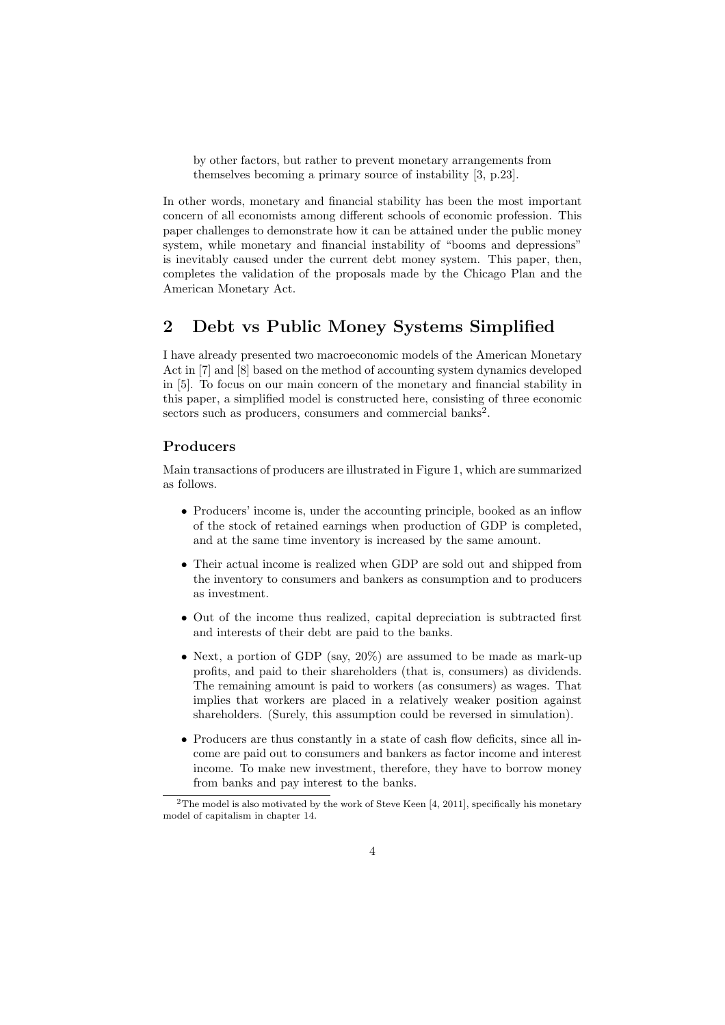by other factors, but rather to prevent monetary arrangements from themselves becoming a primary source of instability [3, p.23].

In other words, monetary and financial stability has been the most important concern of all economists among different schools of economic profession. This paper challenges to demonstrate how it can be attained under the public money system, while monetary and financial instability of "booms and depressions" is inevitably caused under the current debt money system. This paper, then, completes the validation of the proposals made by the Chicago Plan and the American Monetary Act.

## **2 Debt vs Public Money Systems Simplified**

I have already presented two macroeconomic models of the American Monetary Act in [7] and [8] based on the method of accounting system dynamics developed in [5]. To focus on our main concern of the monetary and financial stability in this paper, a simplified model is constructed here, consisting of three economic sectors such as producers, consumers and commercial banks<sup>2</sup>.

#### **Producers**

Main transactions of producers are illustrated in Figure 1, which are summarized as follows.

- Producers' income is, under the accounting principle, booked as an inflow of the stock of retained earnings when production of GDP is completed, and at the same time inventory is increased by the same amount.
- *•* Their actual income is realized when GDP are sold out and shipped from the inventory to consumers and bankers as consumption and to producers as investment.
- Out of the income thus realized, capital depreciation is subtracted first and interests of their debt are paid to the banks.
- Next, a portion of GDP (say, 20%) are assumed to be made as mark-up profits, and paid to their shareholders (that is, consumers) as dividends. The remaining amount is paid to workers (as consumers) as wages. That implies that workers are placed in a relatively weaker position against shareholders. (Surely, this assumption could be reversed in simulation).
- Producers are thus constantly in a state of cash flow deficits, since all income are paid out to consumers and bankers as factor income and interest income. To make new investment, therefore, they have to borrow money from banks and pay interest to the banks.

<sup>&</sup>lt;sup>2</sup>The model is also motivated by the work of Steve Keen [4, 2011], specifically his monetary model of capitalism in chapter 14.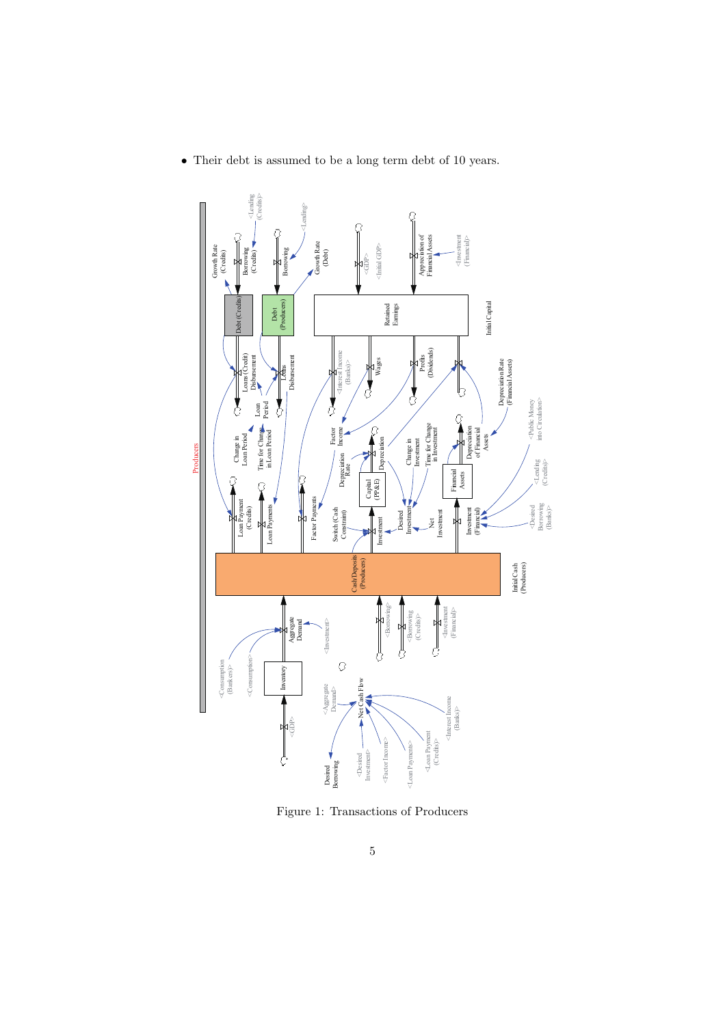

*•* Their debt is assumed to be a long term debt of 10 years.

Figure 1: Transactions of Producers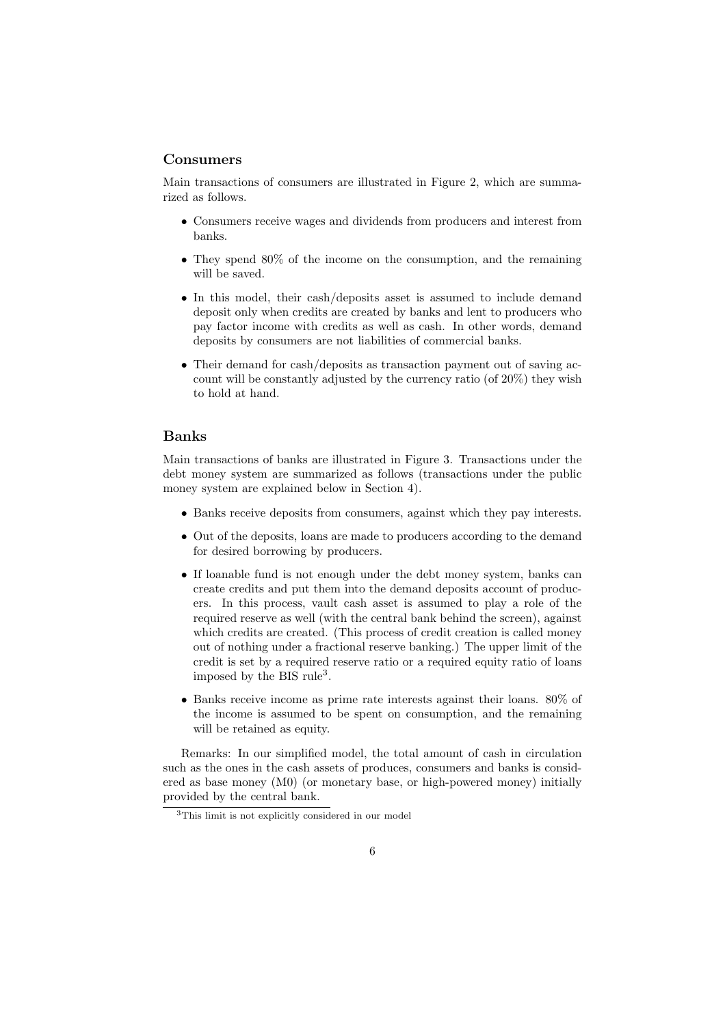#### **Consumers**

Main transactions of consumers are illustrated in Figure 2, which are summarized as follows.

- *•* Consumers receive wages and dividends from producers and interest from banks.
- They spend 80% of the income on the consumption, and the remaining will be saved.
- In this model, their cash/deposits asset is assumed to include demand deposit only when credits are created by banks and lent to producers who pay factor income with credits as well as cash. In other words, demand deposits by consumers are not liabilities of commercial banks.
- Their demand for cash/deposits as transaction payment out of saving account will be constantly adjusted by the currency ratio (of 20%) they wish to hold at hand.

#### **Banks**

Main transactions of banks are illustrated in Figure 3. Transactions under the debt money system are summarized as follows (transactions under the public money system are explained below in Section 4).

- *•* Banks receive deposits from consumers, against which they pay interests.
- Out of the deposits, loans are made to producers according to the demand for desired borrowing by producers.
- If loanable fund is not enough under the debt money system, banks can create credits and put them into the demand deposits account of producers. In this process, vault cash asset is assumed to play a role of the required reserve as well (with the central bank behind the screen), against which credits are created. (This process of credit creation is called money out of nothing under a fractional reserve banking.) The upper limit of the credit is set by a required reserve ratio or a required equity ratio of loans imposed by the BIS rule<sup>3</sup>.
- Banks receive income as prime rate interests against their loans. 80% of the income is assumed to be spent on consumption, and the remaining will be retained as equity.

Remarks: In our simplified model, the total amount of cash in circulation such as the ones in the cash assets of produces, consumers and banks is considered as base money (M0) (or monetary base, or high-powered money) initially provided by the central bank.

<sup>3</sup>This limit is not explicitly considered in our model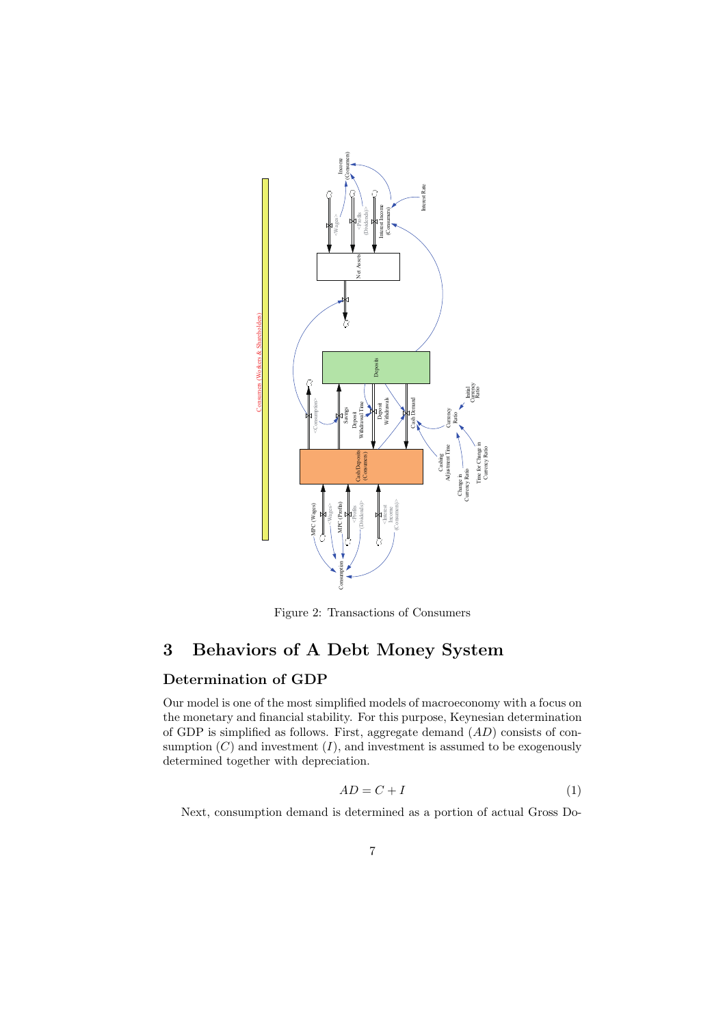

Figure 2: Transactions of Consumers

## **3 Behaviors of A Debt Money System**

## **Determination of GDP**

Our model is one of the most simplified models of macroeconomy with a focus on the monetary and financial stability. For this purpose, Keynesian determination of GDP is simplified as follows. First, aggregate demand (*AD*) consists of consumption  $(C)$  and investment  $(I)$ , and investment is assumed to be exogenously determined together with depreciation.

$$
AD = C + I \tag{1}
$$

Next, consumption demand is determined as a portion of actual Gross Do-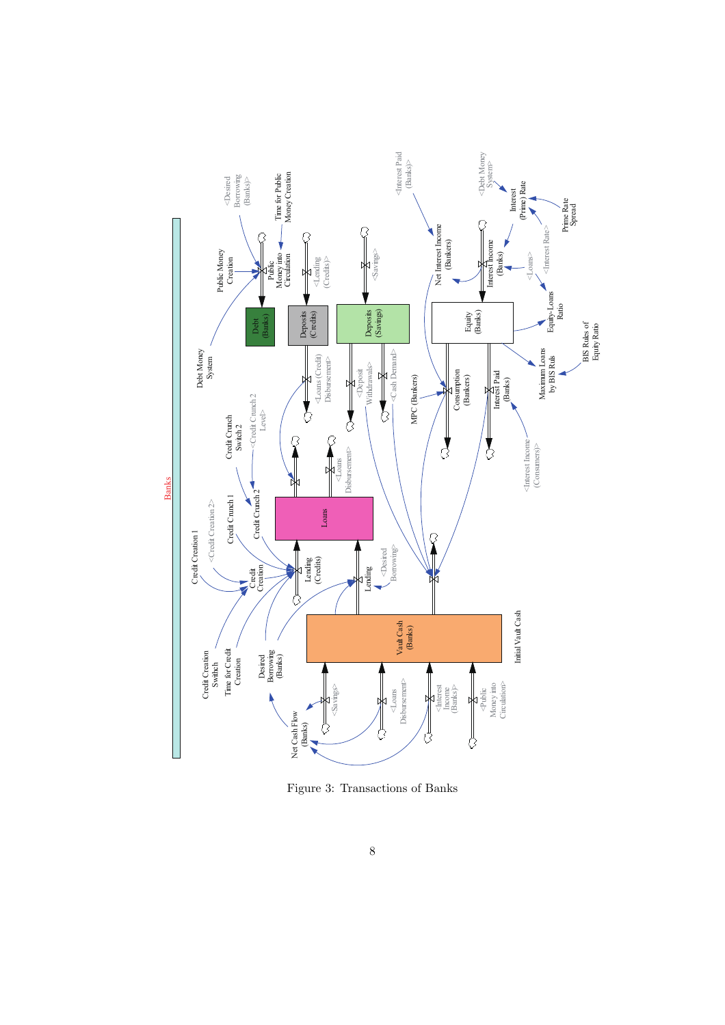

Figure 3: Transactions of Banks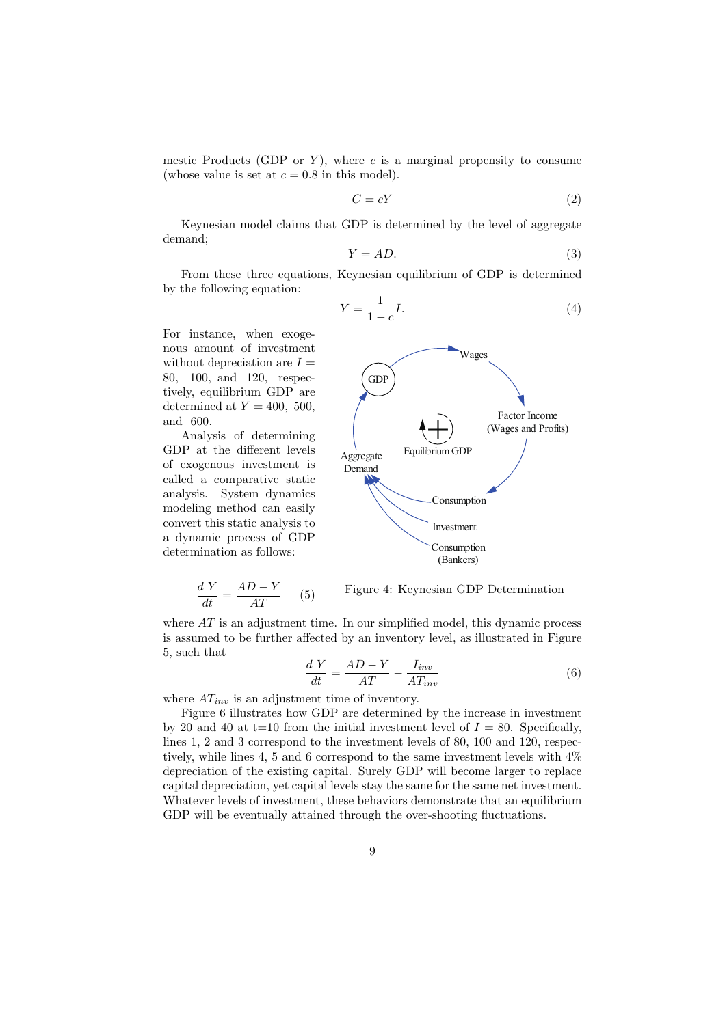mestic Products (GDP or  $Y$ ), where  $c$  is a marginal propensity to consume (whose value is set at  $c = 0.8$  in this model).

$$
C = cY \tag{2}
$$

Keynesian model claims that GDP is determined by the level of aggregate demand;

$$
Y = AD.\t\t(3)
$$

From these three equations, Keynesian equilibrium of GDP is determined by the following equation:

$$
Y = \frac{1}{1 - c}I.\tag{4}
$$

For instance, when exogenous amount of investment without depreciation are  $I =$ 80*,* 100*,* and 120, respectively, equilibrium GDP are determined at  $Y = 400, 500$ , and 600.

Analysis of determining GDP at the different levels of exogenous investment is called a comparative static analysis. System dynamics modeling method can easily convert this static analysis to a dynamic process of GDP determination as follows:

$$
\frac{dY}{dt} = \frac{AD - Y}{AT} \qquad (5)
$$

Figure 4: Keynesian GDP Determination

where  $AT$  is an adjustment time. In our simplified model, this dynamic process is assumed to be further affected by an inventory level, as illustrated in Figure 5, such that

$$
\frac{dY}{dt} = \frac{AD - Y}{AT} - \frac{I_{inv}}{AT_{inv}}\tag{6}
$$

where  $AT_{inv}$  is an adjustment time of inventory.

Figure 6 illustrates how GDP are determined by the increase in investment by 20 and 40 at  $t=10$  from the initial investment level of  $I = 80$ . Specifically, lines 1, 2 and 3 correspond to the investment levels of 80, 100 and 120, respectively, while lines 4, 5 and 6 correspond to the same investment levels with 4% depreciation of the existing capital. Surely GDP will become larger to replace capital depreciation, yet capital levels stay the same for the same net investment. Whatever levels of investment, these behaviors demonstrate that an equilibrium GDP will be eventually attained through the over-shooting fluctuations.

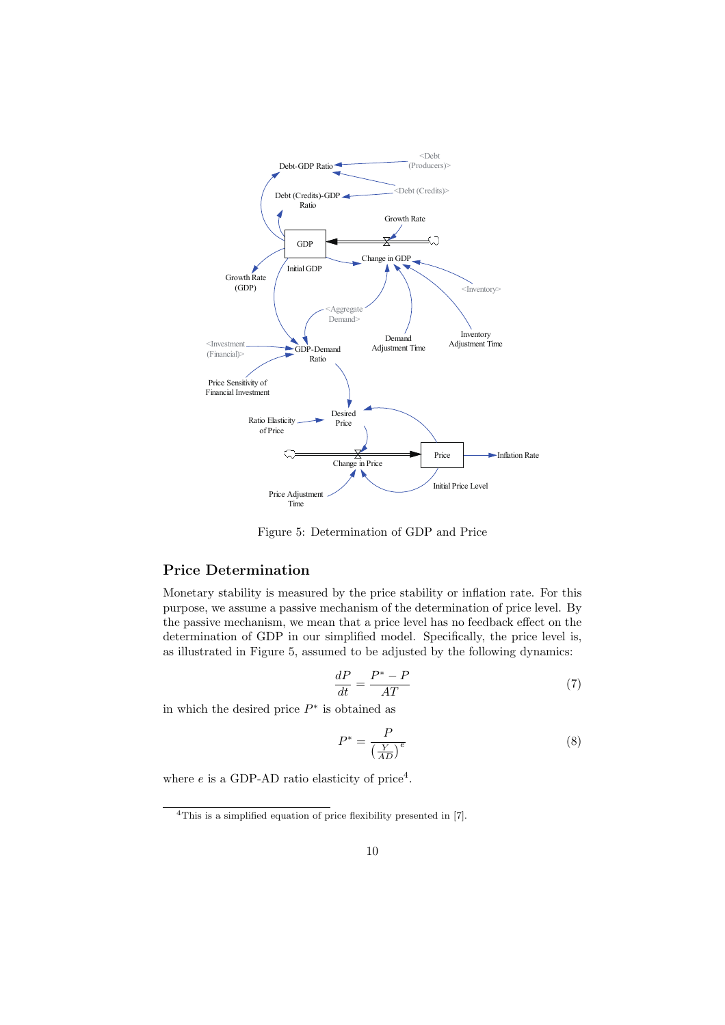

Figure 5: Determination of GDP and Price

## **Price Determination**

Monetary stability is measured by the price stability or inflation rate. For this purpose, we assume a passive mechanism of the determination of price level. By the passive mechanism, we mean that a price level has no feedback effect on the determination of GDP in our simplified model. Specifically, the price level is, as illustrated in Figure 5, assumed to be adjusted by the following dynamics:

$$
\frac{dP}{dt} = \frac{P^* - P}{AT} \tag{7}
$$

in which the desired price *P ∗* is obtained as

$$
P^* = \frac{P}{\left(\frac{Y}{AD}\right)^e} \tag{8}
$$

where  $e$  is a GDP-AD ratio elasticity of price<sup>4</sup>.

<sup>&</sup>lt;sup>4</sup>This is a simplified equation of price flexibility presented in [7].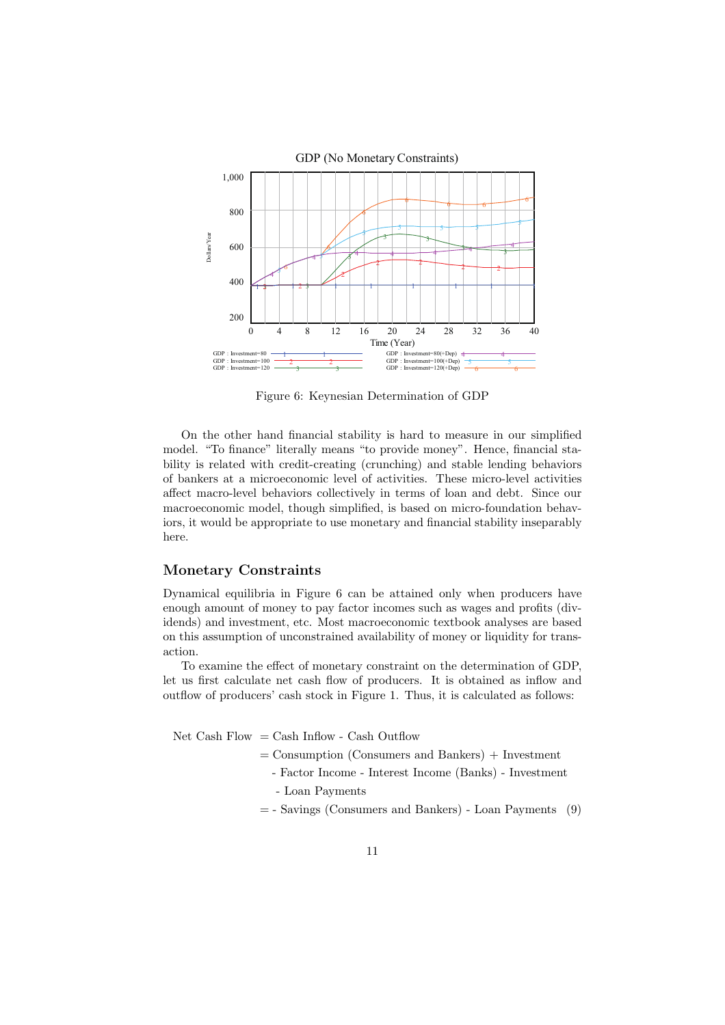

Figure 6: Keynesian Determination of GDP

On the other hand financial stability is hard to measure in our simplified model. "To finance" literally means "to provide money". Hence, financial stability is related with credit-creating (crunching) and stable lending behaviors of bankers at a microeconomic level of activities. These micro-level activities affect macro-level behaviors collectively in terms of loan and debt. Since our macroeconomic model, though simplified, is based on micro-foundation behaviors, it would be appropriate to use monetary and financial stability inseparably here.

#### **Monetary Constraints**

Dynamical equilibria in Figure 6 can be attained only when producers have enough amount of money to pay factor incomes such as wages and profits (dividends) and investment, etc. Most macroeconomic textbook analyses are based on this assumption of unconstrained availability of money or liquidity for transaction.

To examine the effect of monetary constraint on the determination of GDP, let us first calculate net cash flow of producers. It is obtained as inflow and outflow of producers' cash stock in Figure 1. Thus, it is calculated as follows:

Net Cash Flow  $=$  Cash Inflow - Cash Outflow

- $=$  Consumption (Consumers and Bankers)  $+$  Investment
	- Factor Income Interest Income (Banks) Investment - Loan Payments
- = Savings (Consumers and Bankers) Loan Payments (9)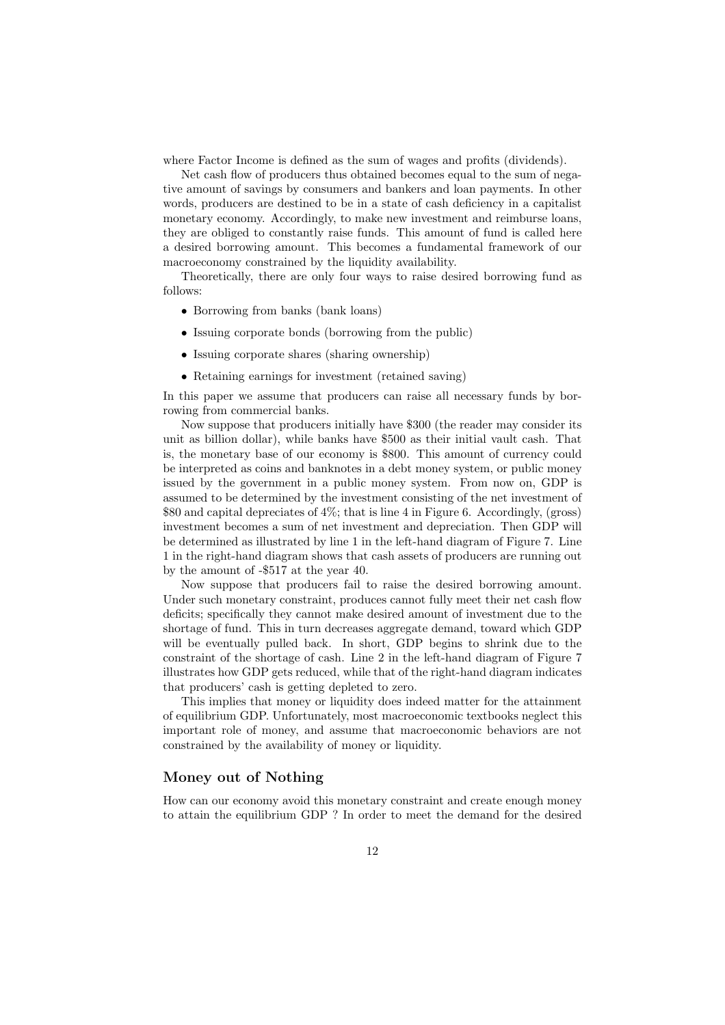where Factor Income is defined as the sum of wages and profits (dividends).

Net cash flow of producers thus obtained becomes equal to the sum of negative amount of savings by consumers and bankers and loan payments. In other words, producers are destined to be in a state of cash deficiency in a capitalist monetary economy. Accordingly, to make new investment and reimburse loans, they are obliged to constantly raise funds. This amount of fund is called here a desired borrowing amount. This becomes a fundamental framework of our macroeconomy constrained by the liquidity availability.

Theoretically, there are only four ways to raise desired borrowing fund as follows:

- Borrowing from banks (bank loans)
- *•* Issuing corporate bonds (borrowing from the public)
- Issuing corporate shares (sharing ownership)
- Retaining earnings for investment (retained saving)

In this paper we assume that producers can raise all necessary funds by borrowing from commercial banks.

Now suppose that producers initially have \$300 (the reader may consider its unit as billion dollar), while banks have \$500 as their initial vault cash. That is, the monetary base of our economy is \$800. This amount of currency could be interpreted as coins and banknotes in a debt money system, or public money issued by the government in a public money system. From now on, GDP is assumed to be determined by the investment consisting of the net investment of \$80 and capital depreciates of 4%; that is line 4 in Figure 6. Accordingly, (gross) investment becomes a sum of net investment and depreciation. Then GDP will be determined as illustrated by line 1 in the left-hand diagram of Figure 7. Line 1 in the right-hand diagram shows that cash assets of producers are running out by the amount of -\$517 at the year 40.

Now suppose that producers fail to raise the desired borrowing amount. Under such monetary constraint, produces cannot fully meet their net cash flow deficits; specifically they cannot make desired amount of investment due to the shortage of fund. This in turn decreases aggregate demand, toward which GDP will be eventually pulled back. In short, GDP begins to shrink due to the constraint of the shortage of cash. Line 2 in the left-hand diagram of Figure 7 illustrates how GDP gets reduced, while that of the right-hand diagram indicates that producers' cash is getting depleted to zero.

This implies that money or liquidity does indeed matter for the attainment of equilibrium GDP. Unfortunately, most macroeconomic textbooks neglect this important role of money, and assume that macroeconomic behaviors are not constrained by the availability of money or liquidity.

#### **Money out of Nothing**

How can our economy avoid this monetary constraint and create enough money to attain the equilibrium GDP ? In order to meet the demand for the desired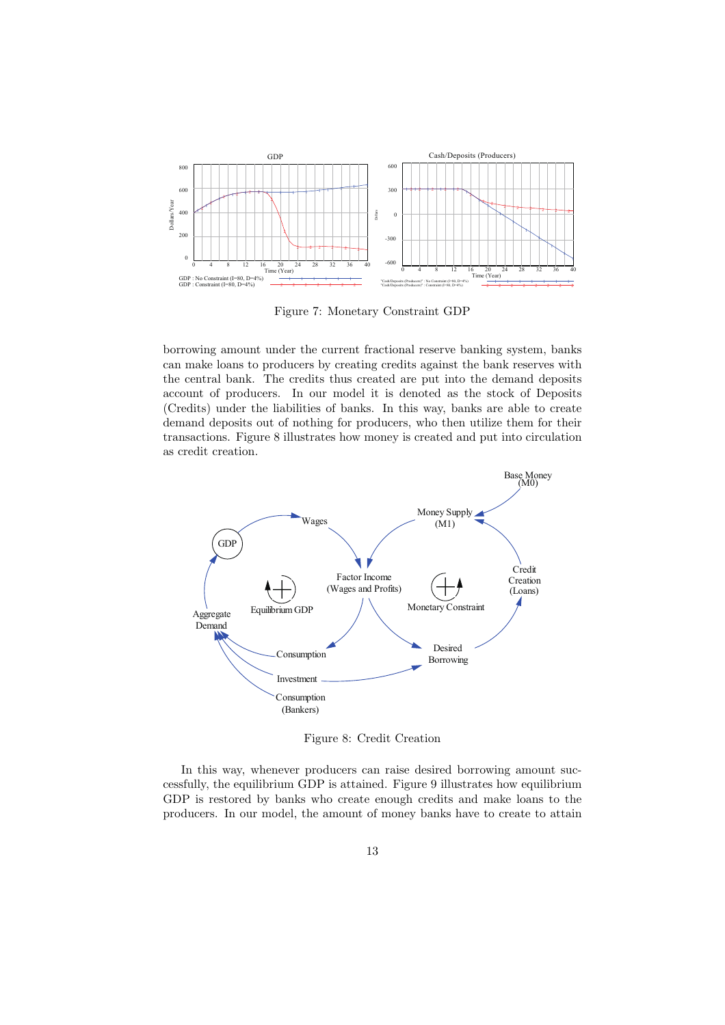

Figure 7: Monetary Constraint GDP

borrowing amount under the current fractional reserve banking system, banks can make loans to producers by creating credits against the bank reserves with the central bank. The credits thus created are put into the demand deposits account of producers. In our model it is denoted as the stock of Deposits (Credits) under the liabilities of banks. In this way, banks are able to create demand deposits out of nothing for producers, who then utilize them for their transactions. Figure 8 illustrates how money is created and put into circulation as credit creation.



Figure 8: Credit Creation

In this way, whenever producers can raise desired borrowing amount successfully, the equilibrium GDP is attained. Figure 9 illustrates how equilibrium GDP is restored by banks who create enough credits and make loans to the producers. In our model, the amount of money banks have to create to attain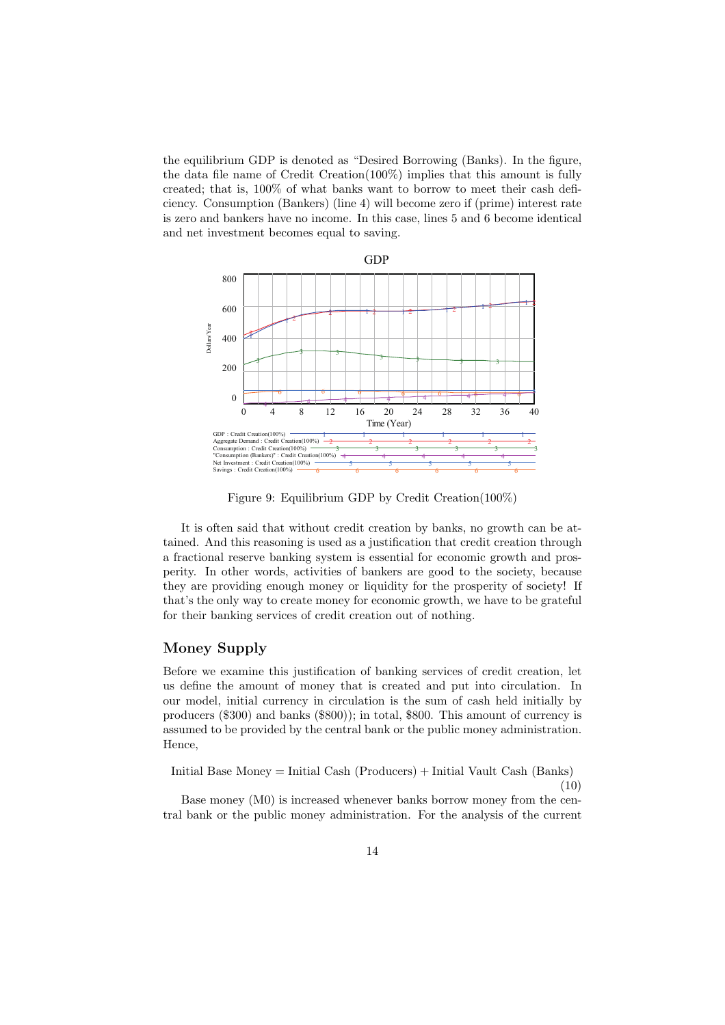the equilibrium GDP is denoted as "Desired Borrowing (Banks). In the figure, the data file name of Credit Creation(100%) implies that this amount is fully created; that is, 100% of what banks want to borrow to meet their cash deficiency. Consumption (Bankers) (line 4) will become zero if (prime) interest rate is zero and bankers have no income. In this case, lines 5 and 6 become identical and net investment becomes equal to saving.



Figure 9: Equilibrium GDP by Credit Creation(100%)

It is often said that without credit creation by banks, no growth can be attained. And this reasoning is used as a justification that credit creation through a fractional reserve banking system is essential for economic growth and prosperity. In other words, activities of bankers are good to the society, because they are providing enough money or liquidity for the prosperity of society! If that's the only way to create money for economic growth, we have to be grateful for their banking services of credit creation out of nothing.

#### **Money Supply**

Before we examine this justification of banking services of credit creation, let us define the amount of money that is created and put into circulation. In our model, initial currency in circulation is the sum of cash held initially by producers (\$300) and banks (\$800)); in total, \$800. This amount of currency is assumed to be provided by the central bank or the public money administration. Hence,

Initial Base Money = Initial Cash (Producers) + Initial Vault Cash (Banks) (10)

Base money (M0) is increased whenever banks borrow money from the central bank or the public money administration. For the analysis of the current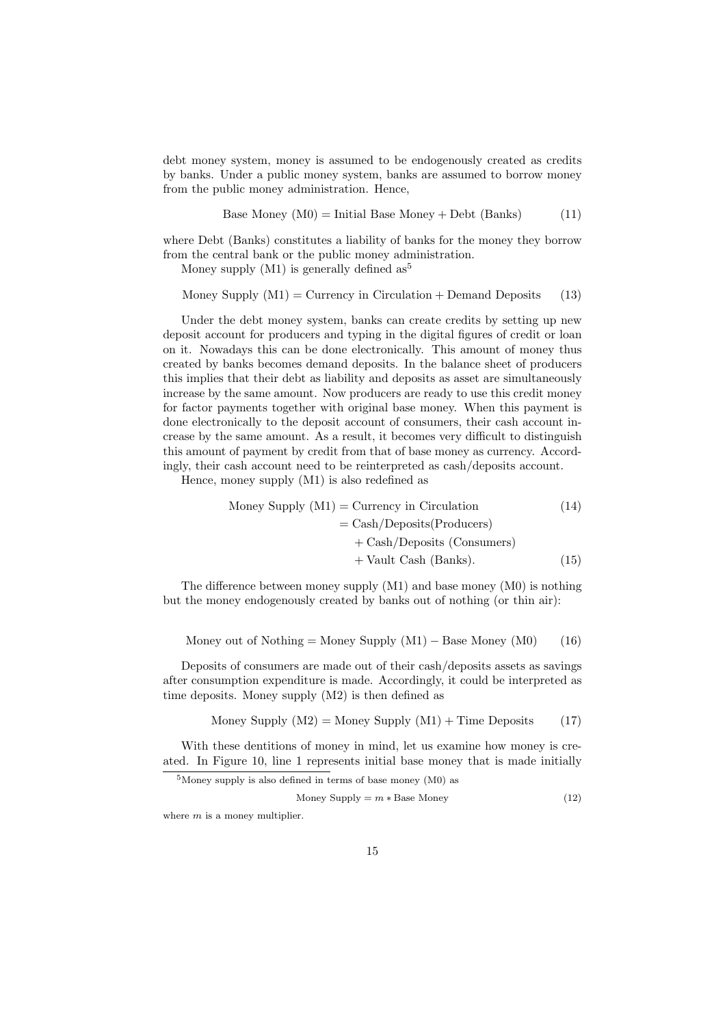debt money system, money is assumed to be endogenously created as credits by banks. Under a public money system, banks are assumed to borrow money from the public money administration. Hence,

Base Money 
$$
(M0)
$$
 = Initial Base Money + Debt (Banks) (11)

where Debt (Banks) constitutes a liability of banks for the money they borrow from the central bank or the public money administration.

Money supply  $(M1)$  is generally defined as<sup>5</sup>

Money Supply  $(M1) =$  Currency in Circulation + Demand Deposits (13)

Under the debt money system, banks can create credits by setting up new deposit account for producers and typing in the digital figures of credit or loan on it. Nowadays this can be done electronically. This amount of money thus created by banks becomes demand deposits. In the balance sheet of producers this implies that their debt as liability and deposits as asset are simultaneously increase by the same amount. Now producers are ready to use this credit money for factor payments together with original base money. When this payment is done electronically to the deposit account of consumers, their cash account increase by the same amount. As a result, it becomes very difficult to distinguish this amount of payment by credit from that of base money as currency. Accordingly, their cash account need to be reinterpreted as cash/deposits account.

Hence, money supply (M1) is also redefined as

Money Supply (M1) = Currency in Circulation

\n
$$
= \text{Cash}/\text{Deposits}(\text{Products}) + \text{Cash}/\text{Deposits}(\text{Consumes}) + \text{Vault Cash}(\text{Banks}). \tag{15}
$$

The difference between money supply (M1) and base money (M0) is nothing but the money endogenously created by banks out of nothing (or thin air):

Money out of Nothing = Money Supply 
$$
(M1) -
$$
Base Money  $(M0)$  (16)

Deposits of consumers are made out of their cash/deposits assets as savings after consumption expenditure is made. Accordingly, it could be interpreted as time deposits. Money supply (M2) is then defined as

$$
Money Supply (M2) = Money Supply (M1) + Time Deposits (17)
$$

With these dentitions of money in mind, let us examine how money is created. In Figure 10, line 1 represents initial base money that is made initially

 $5$ Money supply is also defined in terms of base money (M0) as

$$
Money Supply = m * Base Money
$$
\n(12)

where *m* is a money multiplier.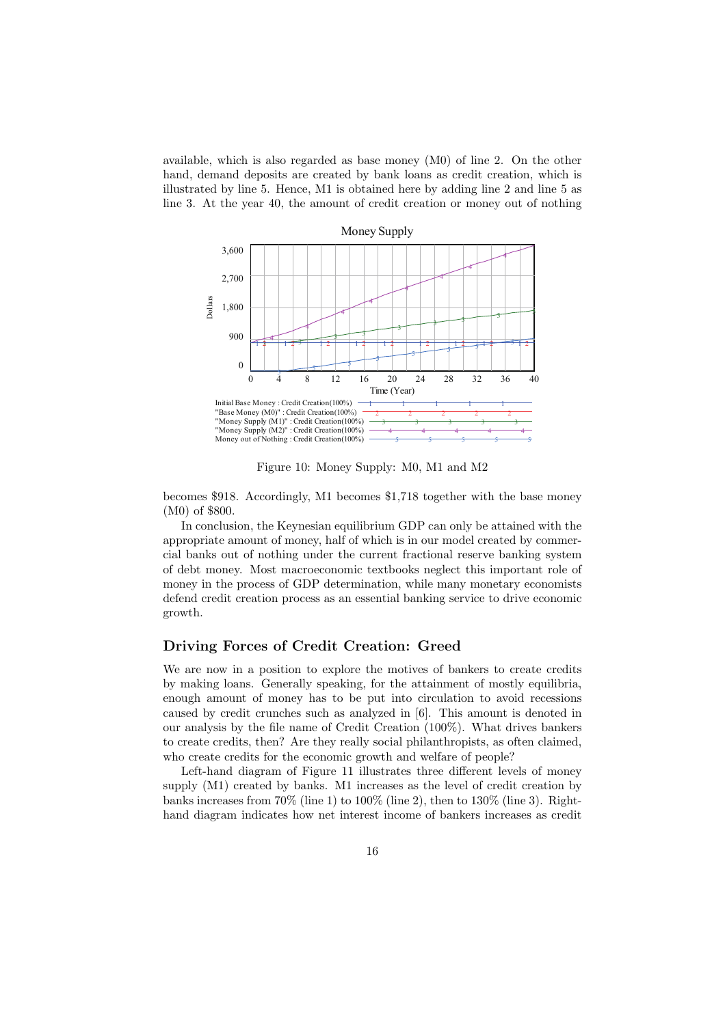available, which is also regarded as base money (M0) of line 2. On the other hand, demand deposits are created by bank loans as credit creation, which is illustrated by line 5. Hence, M1 is obtained here by adding line 2 and line 5 as line 3. At the year 40, the amount of credit creation or money out of nothing



Figure 10: Money Supply: M0, M1 and M2

becomes \$918. Accordingly, M1 becomes \$1,718 together with the base money (M0) of \$800.

In conclusion, the Keynesian equilibrium GDP can only be attained with the appropriate amount of money, half of which is in our model created by commercial banks out of nothing under the current fractional reserve banking system of debt money. Most macroeconomic textbooks neglect this important role of money in the process of GDP determination, while many monetary economists defend credit creation process as an essential banking service to drive economic growth.

#### **Driving Forces of Credit Creation: Greed**

We are now in a position to explore the motives of bankers to create credits by making loans. Generally speaking, for the attainment of mostly equilibria, enough amount of money has to be put into circulation to avoid recessions caused by credit crunches such as analyzed in [6]. This amount is denoted in our analysis by the file name of Credit Creation (100%). What drives bankers to create credits, then? Are they really social philanthropists, as often claimed, who create credits for the economic growth and welfare of people?

Left-hand diagram of Figure 11 illustrates three different levels of money supply (M1) created by banks. M1 increases as the level of credit creation by banks increases from  $70\%$  (line 1) to  $100\%$  (line 2), then to  $130\%$  (line 3). Righthand diagram indicates how net interest income of bankers increases as credit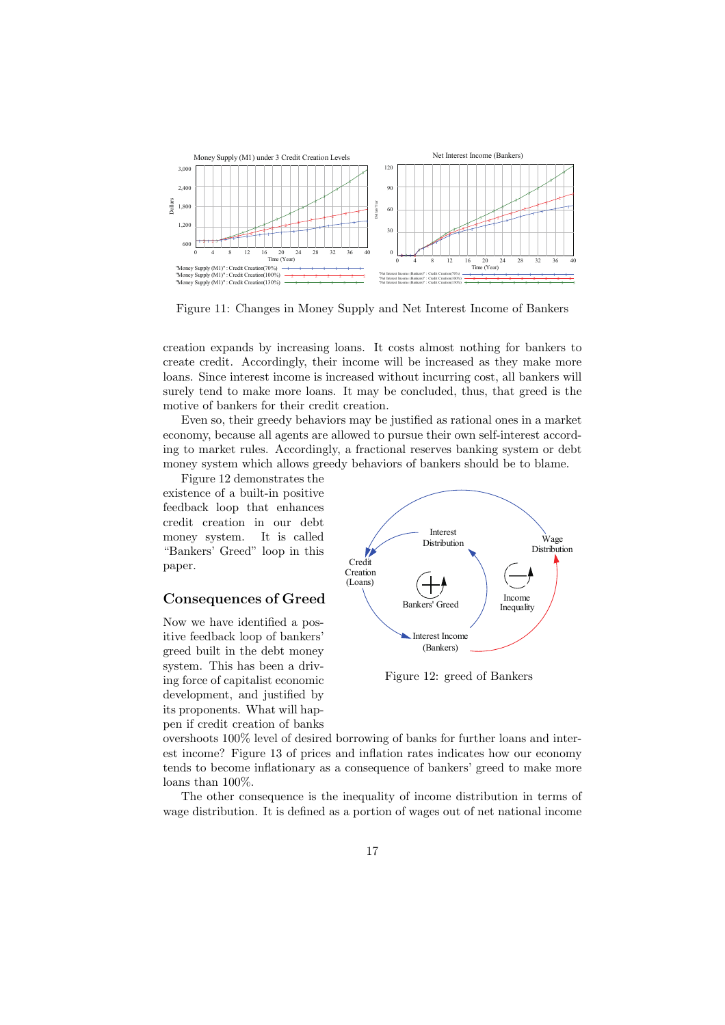

Figure 11: Changes in Money Supply and Net Interest Income of Bankers

creation expands by increasing loans. It costs almost nothing for bankers to create credit. Accordingly, their income will be increased as they make more loans. Since interest income is increased without incurring cost, all bankers will surely tend to make more loans. It may be concluded, thus, that greed is the motive of bankers for their credit creation.

Even so, their greedy behaviors may be justified as rational ones in a market economy, because all agents are allowed to pursue their own self-interest according to market rules. Accordingly, a fractional reserves banking system or debt money system which allows greedy behaviors of bankers should be to blame.

Figure 12 demonstrates the existence of a built-in positive feedback loop that enhances credit creation in our debt money system. It is called "Bankers' Greed" loop in this paper.

#### **Consequences of Greed**

Now we have identified a positive feedback loop of bankers' greed built in the debt money system. This has been a driving force of capitalist economic development, and justified by its proponents. What will happen if credit creation of banks



Figure 12: greed of Bankers

overshoots 100% level of desired borrowing of banks for further loans and interest income? Figure 13 of prices and inflation rates indicates how our economy tends to become inflationary as a consequence of bankers' greed to make more loans than 100%.

The other consequence is the inequality of income distribution in terms of wage distribution. It is defined as a portion of wages out of net national income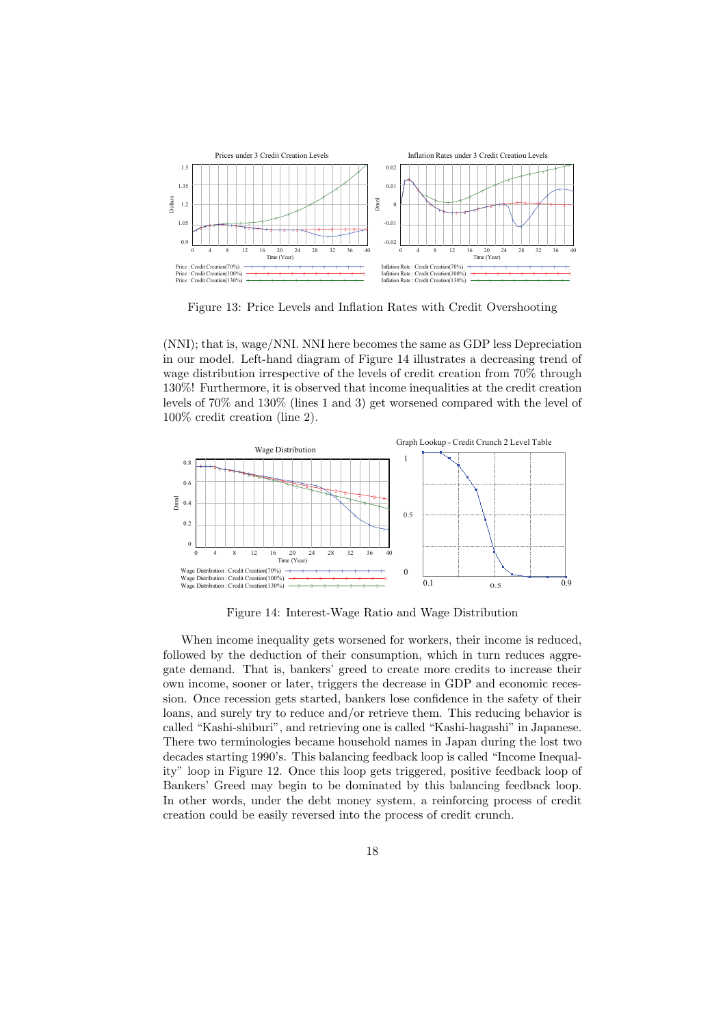

Figure 13: Price Levels and Inflation Rates with Credit Overshooting

(NNI); that is, wage/NNI. NNI here becomes the same as GDP less Depreciation in our model. Left-hand diagram of Figure 14 illustrates a decreasing trend of wage distribution irrespective of the levels of credit creation from 70% through 130%! Furthermore, it is observed that income inequalities at the credit creation levels of 70% and 130% (lines 1 and 3) get worsened compared with the level of 100% credit creation (line 2).



Figure 14: Interest-Wage Ratio and Wage Distribution

When income inequality gets worsened for workers, their income is reduced, followed by the deduction of their consumption, which in turn reduces aggregate demand. That is, bankers' greed to create more credits to increase their own income, sooner or later, triggers the decrease in GDP and economic recession. Once recession gets started, bankers lose confidence in the safety of their loans, and surely try to reduce and/or retrieve them. This reducing behavior is called "Kashi-shiburi", and retrieving one is called "Kashi-hagashi" in Japanese. There two terminologies became household names in Japan during the lost two decades starting 1990's. This balancing feedback loop is called "Income Inequality" loop in Figure 12. Once this loop gets triggered, positive feedback loop of Bankers' Greed may begin to be dominated by this balancing feedback loop. In other words, under the debt money system, a reinforcing process of credit creation could be easily reversed into the process of credit crunch.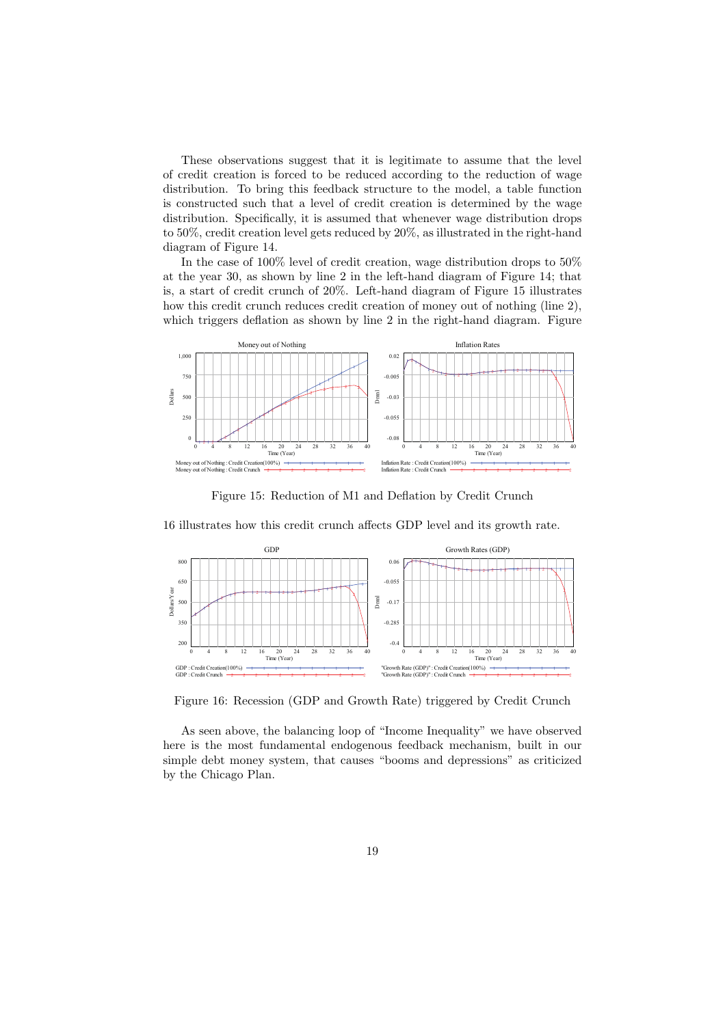These observations suggest that it is legitimate to assume that the level of credit creation is forced to be reduced according to the reduction of wage distribution. To bring this feedback structure to the model, a table function is constructed such that a level of credit creation is determined by the wage distribution. Specifically, it is assumed that whenever wage distribution drops to 50%, credit creation level gets reduced by 20%, as illustrated in the right-hand diagram of Figure 14.

In the case of 100% level of credit creation, wage distribution drops to 50% at the year 30, as shown by line 2 in the left-hand diagram of Figure 14; that is, a start of credit crunch of 20%. Left-hand diagram of Figure 15 illustrates how this credit crunch reduces credit creation of money out of nothing (line 2), which triggers deflation as shown by line 2 in the right-hand diagram. Figure



Figure 15: Reduction of M1 and Deflation by Credit Crunch



16 illustrates how this credit crunch affects GDP level and its growth rate.

Figure 16: Recession (GDP and Growth Rate) triggered by Credit Crunch

As seen above, the balancing loop of "Income Inequality" we have observed here is the most fundamental endogenous feedback mechanism, built in our simple debt money system, that causes "booms and depressions" as criticized by the Chicago Plan.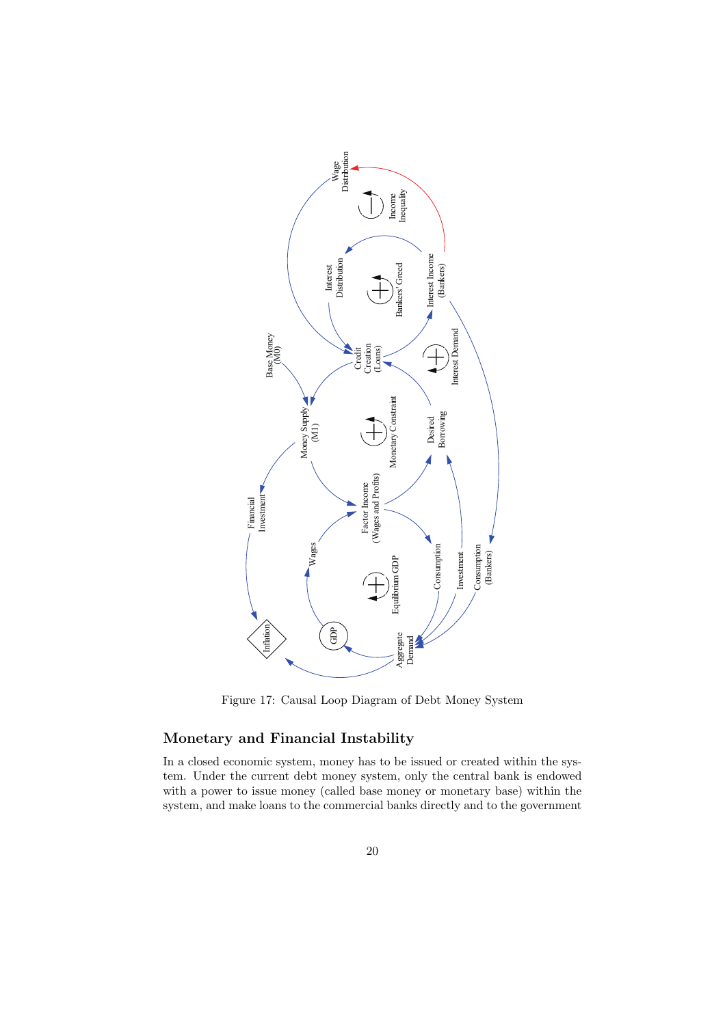

Figure 17: Causal Loop Diagram of Debt Money System

#### **Monetary and Financial Instability**

In a closed economic system, money has to be issued or created within the system. Under the current debt money system, only the central bank is endowed with a power to issue money (called base money or monetary base) within the system, and make loans to the commercial banks directly and to the government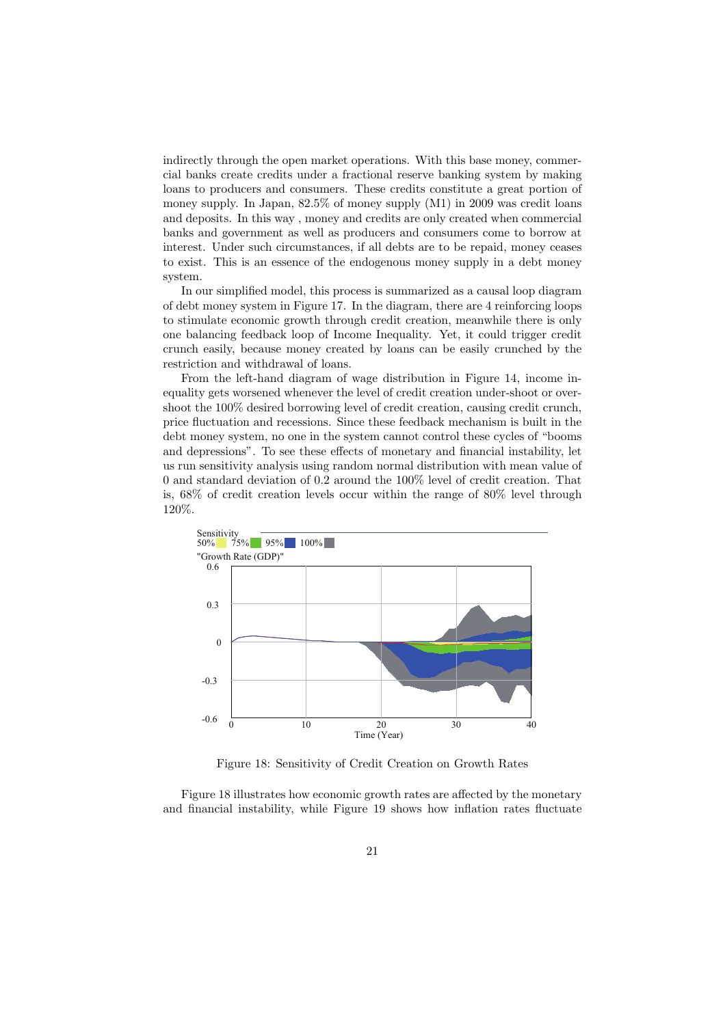indirectly through the open market operations. With this base money, commercial banks create credits under a fractional reserve banking system by making loans to producers and consumers. These credits constitute a great portion of money supply. In Japan, 82.5% of money supply (M1) in 2009 was credit loans and deposits. In this way , money and credits are only created when commercial banks and government as well as producers and consumers come to borrow at interest. Under such circumstances, if all debts are to be repaid, money ceases to exist. This is an essence of the endogenous money supply in a debt money system.

In our simplified model, this process is summarized as a causal loop diagram of debt money system in Figure 17. In the diagram, there are 4 reinforcing loops to stimulate economic growth through credit creation, meanwhile there is only one balancing feedback loop of Income Inequality. Yet, it could trigger credit crunch easily, because money created by loans can be easily crunched by the restriction and withdrawal of loans.

From the left-hand diagram of wage distribution in Figure 14, income inequality gets worsened whenever the level of credit creation under-shoot or overshoot the 100% desired borrowing level of credit creation, causing credit crunch, price fluctuation and recessions. Since these feedback mechanism is built in the debt money system, no one in the system cannot control these cycles of "booms and depressions". To see these effects of monetary and financial instability, let us run sensitivity analysis using random normal distribution with mean value of 0 and standard deviation of 0.2 around the 100% level of credit creation. That is, 68% of credit creation levels occur within the range of 80% level through 120%.



Figure 18: Sensitivity of Credit Creation on Growth Rates

Figure 18 illustrates how economic growth rates are affected by the monetary and financial instability, while Figure 19 shows how inflation rates fluctuate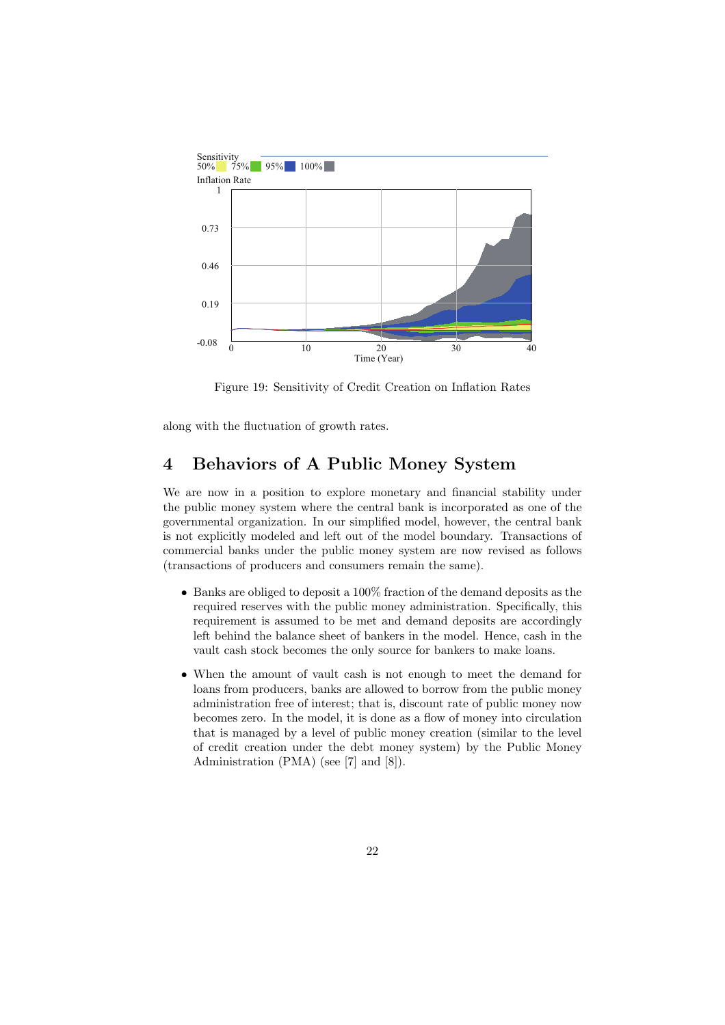

Figure 19: Sensitivity of Credit Creation on Inflation Rates

along with the fluctuation of growth rates.

## **4 Behaviors of A Public Money System**

We are now in a position to explore monetary and financial stability under the public money system where the central bank is incorporated as one of the governmental organization. In our simplified model, however, the central bank is not explicitly modeled and left out of the model boundary. Transactions of commercial banks under the public money system are now revised as follows (transactions of producers and consumers remain the same).

- *•* Banks are obliged to deposit a 100% fraction of the demand deposits as the required reserves with the public money administration. Specifically, this requirement is assumed to be met and demand deposits are accordingly left behind the balance sheet of bankers in the model. Hence, cash in the vault cash stock becomes the only source for bankers to make loans.
- *•* When the amount of vault cash is not enough to meet the demand for loans from producers, banks are allowed to borrow from the public money administration free of interest; that is, discount rate of public money now becomes zero. In the model, it is done as a flow of money into circulation that is managed by a level of public money creation (similar to the level of credit creation under the debt money system) by the Public Money Administration (PMA) (see [7] and [8]).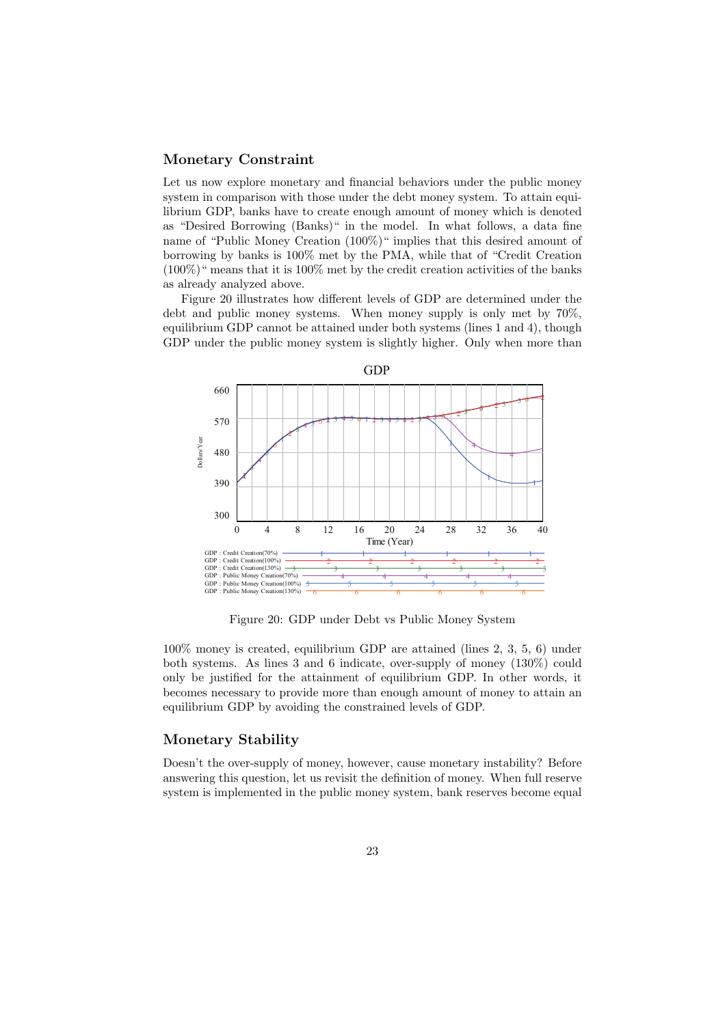#### **Monetary Constraint**

Let us now explore monetary and financial behaviors under the public money system in comparison with those under the debt money system. To attain equilibrium GDP, banks have to create enough amount of money which is denoted as "Desired Borrowing (Banks)" in the model. In what follows, a data fine name of "Public Money Creation (100%)" implies that this desired amount of borrowing by banks is 100% met by the PMA, while that of "Credit Creation  $(100\%)$ " means that it is 100% met by the credit creation activities of the banks as already analyzed above.

Figure 20 illustrates how different levels of GDP are determined under the debt and public money systems. When money supply is only met by 70%, equilibrium GDP cannot be attained under both systems (lines 1 and 4), though GDP under the public money system is slightly higher. Only when more than



Figure 20: GDP under Debt vs Public Money System

100% money is created, equilibrium GDP are attained (lines 2, 3, 5, 6) under both systems. As lines 3 and 6 indicate, over-supply of money (130%) could only be justified for the attainment of equilibrium GDP. In other words, it becomes necessary to provide more than enough amount of money to attain an equilibrium GDP by avoiding the constrained levels of GDP.

#### **Monetary Stability**

Doesn't the over-supply of money, however, cause monetary instability? Before answering this question, let us revisit the definition of money. When full reserve system is implemented in the public money system, bank reserves become equal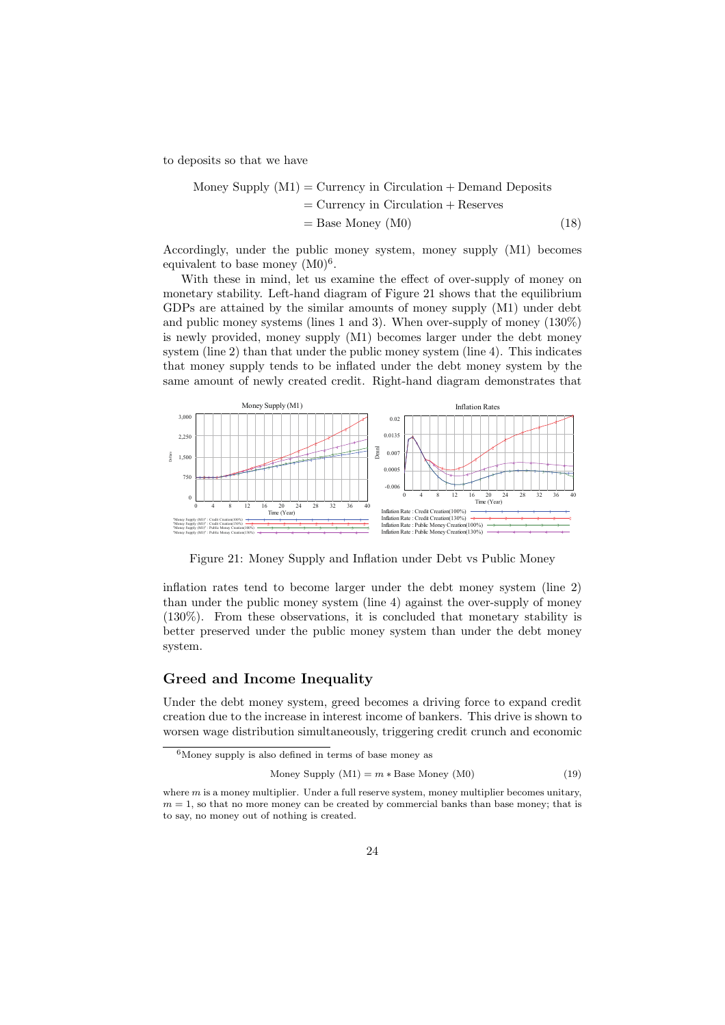to deposits so that we have

Money Supply 
$$
(M1)
$$
 = Currency in Circulation + Demand Deposits

\n $=$  Currency in Circulation + Reserves

\n $=$  Base Money  $(M0)$ 

\n(18)

Accordingly, under the public money system, money supply (M1) becomes equivalent to base money  $(M0)^6$ .

With these in mind, let us examine the effect of over-supply of money on monetary stability. Left-hand diagram of Figure 21 shows that the equilibrium GDPs are attained by the similar amounts of money supply (M1) under debt and public money systems (lines 1 and 3). When over-supply of money (130%) is newly provided, money supply (M1) becomes larger under the debt money system (line 2) than that under the public money system (line 4). This indicates that money supply tends to be inflated under the debt money system by the same amount of newly created credit. Right-hand diagram demonstrates that



Figure 21: Money Supply and Inflation under Debt vs Public Money

inflation rates tend to become larger under the debt money system (line 2) than under the public money system (line 4) against the over-supply of money (130%). From these observations, it is concluded that monetary stability is better preserved under the public money system than under the debt money system.

#### **Greed and Income Inequality**

Under the debt money system, greed becomes a driving force to expand credit creation due to the increase in interest income of bankers. This drive is shown to worsen wage distribution simultaneously, triggering credit crunch and economic

$$
Money Supply (M1) = m * Base Money (M0)
$$
\n(19)

 $6$ Money supply is also defined in terms of base money as

where *m* is a money multiplier. Under a full reserve system, money multiplier becomes unitary,  $m = 1$ , so that no more money can be created by commercial banks than base money; that is to say, no money out of nothing is created.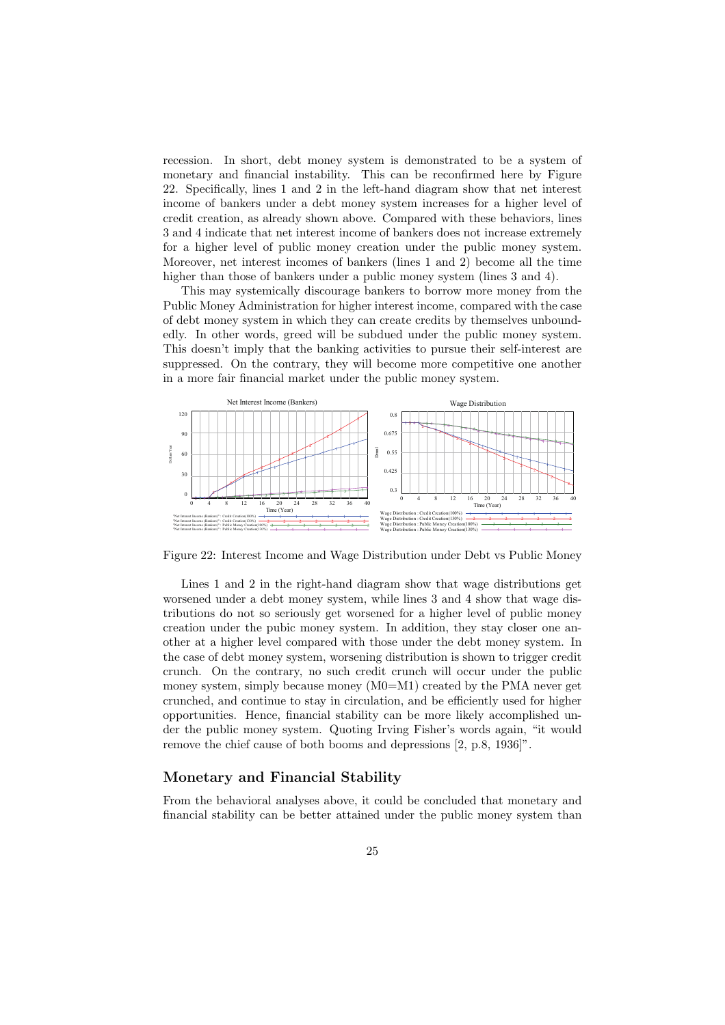recession. In short, debt money system is demonstrated to be a system of monetary and financial instability. This can be reconfirmed here by Figure 22. Specifically, lines 1 and 2 in the left-hand diagram show that net interest income of bankers under a debt money system increases for a higher level of credit creation, as already shown above. Compared with these behaviors, lines 3 and 4 indicate that net interest income of bankers does not increase extremely for a higher level of public money creation under the public money system. Moreover, net interest incomes of bankers (lines 1 and 2) become all the time higher than those of bankers under a public money system (lines 3 and 4).

This may systemically discourage bankers to borrow more money from the Public Money Administration for higher interest income, compared with the case of debt money system in which they can create credits by themselves unboundedly. In other words, greed will be subdued under the public money system. This doesn't imply that the banking activities to pursue their self-interest are suppressed. On the contrary, they will become more competitive one another in a more fair financial market under the public money system.



Figure 22: Interest Income and Wage Distribution under Debt vs Public Money

Lines 1 and 2 in the right-hand diagram show that wage distributions get worsened under a debt money system, while lines 3 and 4 show that wage distributions do not so seriously get worsened for a higher level of public money creation under the pubic money system. In addition, they stay closer one another at a higher level compared with those under the debt money system. In the case of debt money system, worsening distribution is shown to trigger credit crunch. On the contrary, no such credit crunch will occur under the public money system, simply because money (M0=M1) created by the PMA never get crunched, and continue to stay in circulation, and be efficiently used for higher opportunities. Hence, financial stability can be more likely accomplished under the public money system. Quoting Irving Fisher's words again, "it would remove the chief cause of both booms and depressions [2, p.8, 1936]".

#### **Monetary and Financial Stability**

From the behavioral analyses above, it could be concluded that monetary and financial stability can be better attained under the public money system than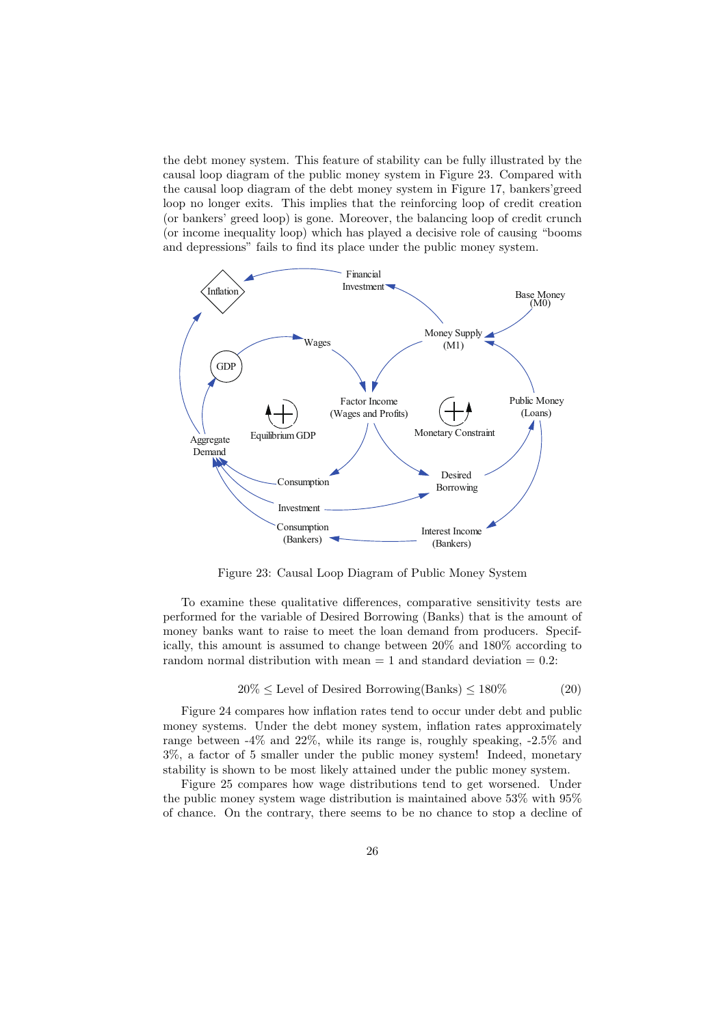the debt money system. This feature of stability can be fully illustrated by the causal loop diagram of the public money system in Figure 23. Compared with the causal loop diagram of the debt money system in Figure 17, bankers'greed loop no longer exits. This implies that the reinforcing loop of credit creation (or bankers' greed loop) is gone. Moreover, the balancing loop of credit crunch (or income inequality loop) which has played a decisive role of causing "booms and depressions" fails to find its place under the public money system.



Figure 23: Causal Loop Diagram of Public Money System

To examine these qualitative differences, comparative sensitivity tests are performed for the variable of Desired Borrowing (Banks) that is the amount of money banks want to raise to meet the loan demand from producers. Specifically, this amount is assumed to change between 20% and 180% according to random normal distribution with mean  $= 1$  and standard deviation  $= 0.2$ :

$$
20\% \le \text{Level of DesignBorrowing(Banks)} \le 180\% \tag{20}
$$

Figure 24 compares how inflation rates tend to occur under debt and public money systems. Under the debt money system, inflation rates approximately range between -4% and 22%, while its range is, roughly speaking, -2.5% and 3%, a factor of 5 smaller under the public money system! Indeed, monetary stability is shown to be most likely attained under the public money system.

Figure 25 compares how wage distributions tend to get worsened. Under the public money system wage distribution is maintained above 53% with 95% of chance. On the contrary, there seems to be no chance to stop a decline of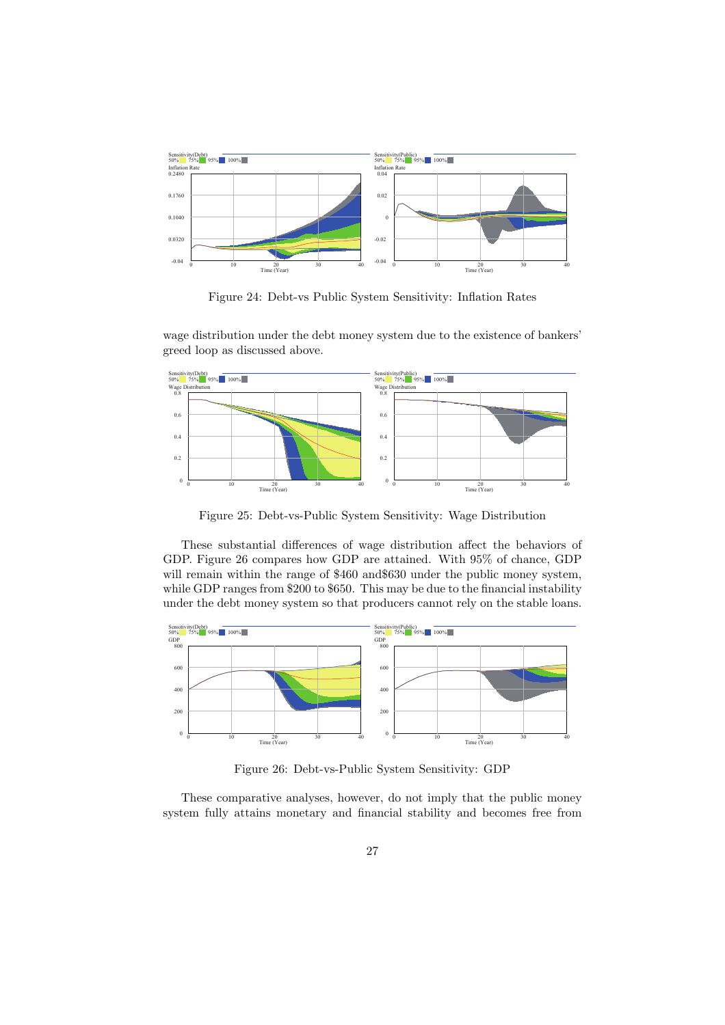

Figure 24: Debt-vs Public System Sensitivity: Inflation Rates

wage distribution under the debt money system due to the existence of bankers' greed loop as discussed above.



Figure 25: Debt-vs-Public System Sensitivity: Wage Distribution

These substantial differences of wage distribution affect the behaviors of GDP. Figure 26 compares how GDP are attained. With 95% of chance, GDP will remain within the range of \$460 and \$630 under the public money system, while GDP ranges from \$200 to \$650. This may be due to the financial instability under the debt money system so that producers cannot rely on the stable loans.



Figure 26: Debt-vs-Public System Sensitivity: GDP

These comparative analyses, however, do not imply that the public money system fully attains monetary and financial stability and becomes free from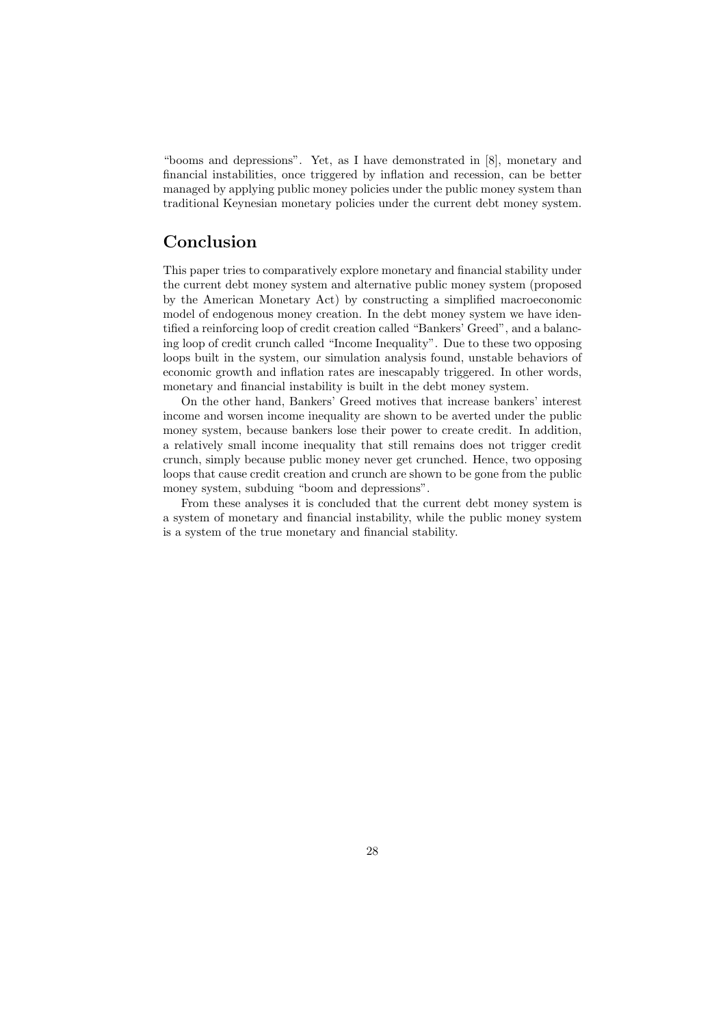"booms and depressions". Yet, as I have demonstrated in [8], monetary and financial instabilities, once triggered by inflation and recession, can be better managed by applying public money policies under the public money system than traditional Keynesian monetary policies under the current debt money system.

## **Conclusion**

This paper tries to comparatively explore monetary and financial stability under the current debt money system and alternative public money system (proposed by the American Monetary Act) by constructing a simplified macroeconomic model of endogenous money creation. In the debt money system we have identified a reinforcing loop of credit creation called "Bankers' Greed", and a balancing loop of credit crunch called "Income Inequality". Due to these two opposing loops built in the system, our simulation analysis found, unstable behaviors of economic growth and inflation rates are inescapably triggered. In other words, monetary and financial instability is built in the debt money system.

On the other hand, Bankers' Greed motives that increase bankers' interest income and worsen income inequality are shown to be averted under the public money system, because bankers lose their power to create credit. In addition, a relatively small income inequality that still remains does not trigger credit crunch, simply because public money never get crunched. Hence, two opposing loops that cause credit creation and crunch are shown to be gone from the public money system, subduing "boom and depressions".

From these analyses it is concluded that the current debt money system is a system of monetary and financial instability, while the public money system is a system of the true monetary and financial stability.